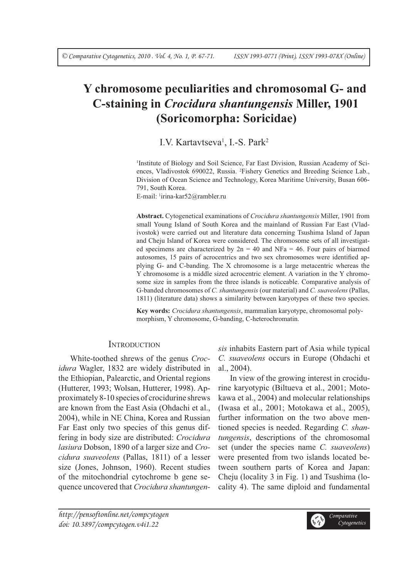# **Y chromosome peculiarities and chromosomal G- and C-staining in** *Crocidura shantungensis* **Miller, 1901 (Soricomorpha: Soricidae)**

# I.V. Kartavtseva<sup>1</sup>, I.-S. Park<sup>2</sup>

<sup>1</sup>Institute of Biology and Soil Science, Far East Division, Russian Academy of Sciences, Vladivostok 690022, Russia. 2 Fishery Genetics and Breeding Science Lab., Division of Ocean Science and Technology, Korea Maritime University, Busan 606- 791, South Korea.

E-mail: 1 irina-kar52@rambler.ru

**Abstract.** Cytogenetical examinations of *Crocidura shantungensis* Miller, 1901 from small Young Island of South Korea and the mainland of Russian Far East (Vladivostok) were carried out and literature data concerning Tsushima Island of Japan and Cheju Island of Korea were considered. The chromosome sets of all investigated specimens are characterized by  $2n = 40$  and NFa = 46. Four pairs of biarmed autosomes, 15 pairs of acrocentrics and two sex chromosomes were identified applying G- and C-banding. The X chromosome is a large metacentric whereas the Y chromosome is a middle sized acrocentric element. A variation in the Y chromosome size in samples from the three islands is noticeable. Comparative analysis of G-banded chromosomes of *C. shantungensis* (our material) and *C. suaveolens* (Pallas, 1811) (literature data) shows a similarity between karyotypes of these two species.

**Key words:** *Crocidura shantungensis*, mammalian karyotype, chromosomal polymorphism, Y chromosome, G-banding, C-heterochromatin.

# **INTRODUCTION**

White-toothed shrews of the genus *Crocidura* Wagler, 1832 are widely distributed in the Ethiopian, Palearctic, and Oriental regions (Hutterer, 1993; Wolsan, Hutterer, 1998). Approximately 8-10 species of crocidurine shrews are known from the East Asia (Ohdachi et al., 2004), while in NE China, Korea and Russian Far East only two species of this genus differing in body size are distributed: *Crocidura lasiura* Dobson, 1890 of a larger size and *Crocidura suaveolens* (Pallas, 1811) of a lesser size (Jones, Johnson, 1960). Recent studies of the mitochondrial cytochrome b gene sequence uncovered that *Crocidura shantungen-* *sis* inhabits Eastern part of Asia while typical *C. suaveolens* occurs in Europe (Ohdachi et al., 2004).

In view of the growing interest in crocidurine karyotypic (Biltueva et al., 2001; Motokawa et al., 2004) and molecular relationships (Iwasa et al., 2001; Motokawa et al., 2005), further information on the two above mentioned species is needed. Regarding *C. shantungensis*, descriptions of the chromosomal set (under the species name *C. suaveolens*) were presented from two islands located between southern parts of Korea and Japan: Cheju (locality 3 in Fig. 1) and Tsushima (locality 4). The same diploid and fundamental

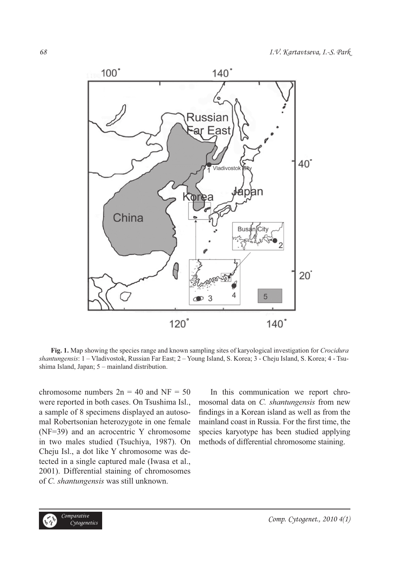

**Fig. 1.** Map showing the species range and known sampling sites of karyological investigation for *Crocidura shantungensis*: 1 – Vladivostok, Russian Far East; 2 – Young Island, S. Korea; 3 - Cheju Island, S. Korea; 4 - Tsushima Island, Japan; 5 – mainland distribution.

chromosome numbers  $2n = 40$  and NF = 50 were reported in both cases. On Tsushima Isl., a sample of 8 specimens displayed an autosomal Robertsonian heterozygote in one female (NF=39) and an acrocentric Y chromosome in two males studied (Tsuchiya, 1987). On Cheju Isl., a dot like Y chromosome was detected in a single captured male (Iwasa et al., 2001). Differential staining of chromosomes of *C. shantungensis* was still unknown.

In this communication we report chromosomal data on *C. shantungensis* from new findings in a Korean island as well as from the mainland coast in Russia. For the first time, the species karyotype has been studied applying methods of differential chromosome staining.

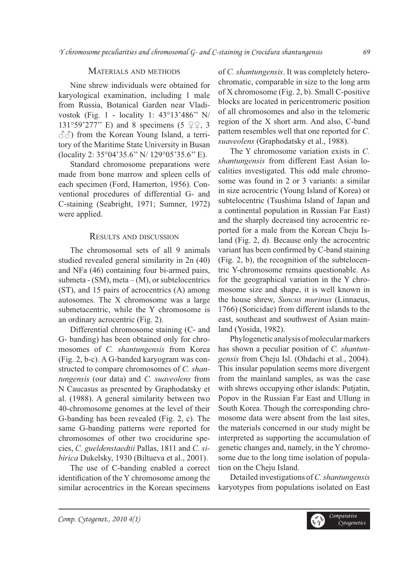## MATERIALS AND METHODS

Nine shrew individuals were obtained for karyological examination, including 1 male from Russia, Botanical Garden near Vladivostok (Fig. 1 - locality 1: 43°13'486'' N/ 131°59'277" E) and 8 specimens (5  $\mathcal{Q}\mathcal{Q}$ , 3  $\langle \hat{\circ} \hat{\circ} \rangle$  from the Korean Young Island, a territory of the Maritime State University in Busan (locality 2: 35°04'35.6'' N/ 129°05'35.6'' E).

Standard chromosome preparations were made from bone marrow and spleen cells of each specimen (Ford, Hamerton, 1956). Conventional procedures of differential G- and C-staining (Seabright, 1971; Sumner, 1972) were applied.

#### RESULTS AND DISCUSSION

The chromosomal sets of all 9 animals studied revealed general similarity in 2n (40) and NFa (46) containing four bi-armed pairs, submeta -  $(SM)$ , meta  $-(M)$ , or subtelocentrics (ST), and 15 pairs of acrocentrics (A) among autosomes. The X chromosome was a large submetacentric, while the Y chromosome is an ordinary acrocentric (Fig. 2).

Differential chromosome staining (C- and G- banding) has been obtained only for chromosomes of *C. shantungensis* from Korea (Fig. 2, b-c). A G-banded karyogram was constructed to compare chromosomes of *C. shantungensis* (our data) and *C. suaveolens* from N Caucasus as presented by Graphodatsky et al. (1988). A general similarity between two 40-chromosome genomes at the level of their G-banding has been revealed (Fig. 2, c). The same G-banding patterns were reported for chromosomes of other two crocidurine species, *C. gueldenstaedtii* Pallas, 1811 and *C. sibirica* Dukelsky, 1930 (Biltueva et al., 2001).

The use of C-banding enabled a correct identification of the Y chromosome among the similar acrocentrics in the Korean specimens of *C. shantungensis*. It was completely heterochromatic, comparable in size to the long arm of X chromosome (Fig. 2, b). Small C-positive blocks are located in pericentromeric position of all chromosomes and also in the telomeric region of the X short arm. And also, C-band pattern resembles well that one reported for *C. suaveolens* (Graphodatsky et al., 1988).

The Y chromosome variation exists in *C. shantungensis* from different East Asian localities investigated. This odd male chromosome was found in 2 or 3 variants: a similar in size acrocentric (Young Island of Korea) or subtelocentric (Tsushima Island of Japan and a continental population in Russian Far East) and the sharply decreased tiny acrocentric reported for a male from the Korean Cheju Island (Fig. 2, d). Because only the acrocentric variant has been confirmed by C-band staining (Fig. 2, b), the recognition of the subtelocentric Y-chromosome remains questionable. As for the geographical variation in the Y chromosome size and shape, it is well known in the house shrew, *Suncus murinus* (Linnaeus, 1766) (Soricidae) from different islands to the east, southeast and southwest of Asian mainland (Yosida, 1982).

Phylogenetic analysis of molecular markers has shown a peculiar position of *C. shantungensis* from Cheju Isl. (Ohdachi et al., 2004). This insular population seems more divergent from the mainland samples, as was the case with shrews occupying other islands: Putjatin, Popov in the Russian Far East and Ullung in South Korea. Though the corresponding chromosome data were absent from the last sites, the materials concerned in our study might be interpreted as supporting the accumulation of genetic changes and, namely, in the Y chromosome due to the long time isolation of population on the Cheju Island.

Detailed investigations of *C. shantungensis* karyotypes from populations isolated on East

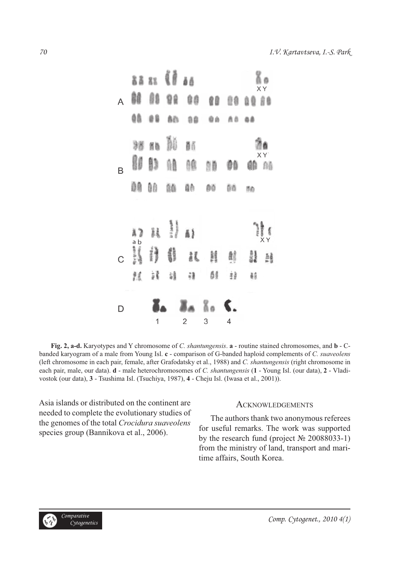

**Fig. 2, a-d.** Karyotypes and Y chromosome of *C. shantungensis*. **a** - routine stained chromosomes, and **b** - Cbanded karyogram of a male from Young Isl. **c** - comparison of G-banded haploid complements of *C. suaveolens*  (left chromosome in each pair, female, after Grafodatsky et al., 1988) and *C. shantungensis* (right chromosome in each pair, male, our data). **d** - male heterochromosomes of *C. shantungensis* (**1** - Young Isl. (our data), **2** - Vladivostok (our data), **3** - Tsushima Isl. (Tsuchiya, 1987), **4** - Cheju Isl. (Iwasa et al., 2001)).

Asia islands or distributed on the continent are needed to complete the evolutionary studies of the genomes of the total *Crocidura suaveolens* species group (Bannikova et al., 2006).

#### ACKNOWLEDGEMENTS

The authors thank two anonymous referees for useful remarks. The work was supported by the research fund (project № 20088033-1) from the ministry of land, transport and maritime affairs, South Korea.